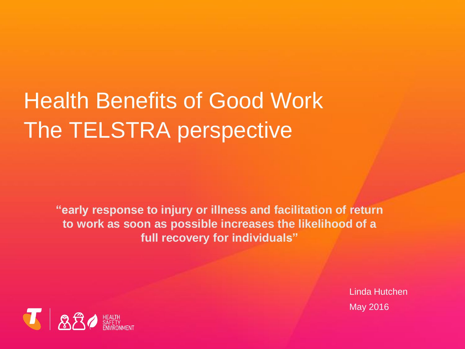# Health Benefits of Good Work The TELSTRA perspective

**"early response to injury or illness and facilitation of return to work as soon as possible increases the likelihood of a full recovery for individuals"**

> Linda Hutchen May 2016

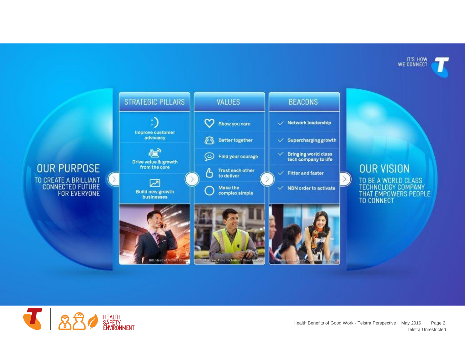IT'S HOW<br>WE CONNECT







Telstra Unrestricted Health Benefits of Good Work - Telstra Perspective | May 2016 Page 2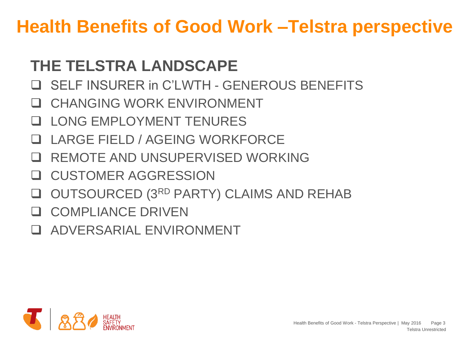## **THE TELSTRA LANDSCAPE**

- SELF INSURER in C'LWTH GENEROUS BENEFITS
- CHANGING WORK ENVIRONMENT
- LONG EMPLOYMENT TENURES
- LARGE FIELD / AGEING WORKFORCE
- REMOTE AND UNSUPERVISED WORKING
- **Q CUSTOMER AGGRESSION**
- **Q OUTSOURCED (3RD PARTY) CLAIMS AND REHAB**
- **Q COMPLIANCE DRIVEN**
- ADVERSARIAL ENVIRONMENT

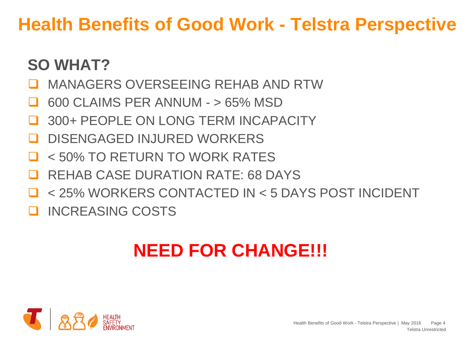## **SO WHAT?**

- MANAGERS OVERSEEING REHAB AND RTW
- 600 CLAIMS PER ANNUM > 65% MSD
- 300+ PEOPLE ON LONG TERM INCAPACITY
- DISENGAGED INJURED WORKERS
- < 50% TO RETURN TO WORK RATES
- REHAB CASE DURATION RATE: 68 DAYS
- < 25% WORKERS CONTACTED IN < 5 DAYS POST INCIDENT
- INCREASING COSTS

# **NEED FOR CHANGE!!!**

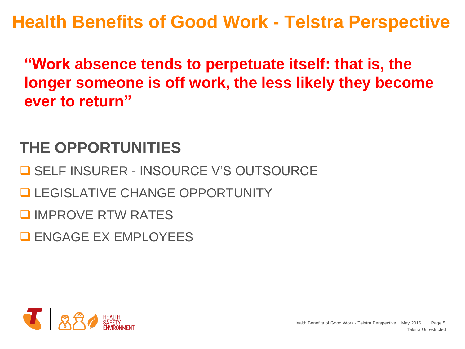**"Work absence tends to perpetuate itself: that is, the longer someone is off work, the less likely they become ever to return"** 

## **THE OPPORTUNITIES**

**O SELF INSURER - INSOURCE V'S OUTSOURCE** 

**LEGISLATIVE CHANGE OPPORTUNITY** 

**Q IMPROVE RTW RATES** 

**ENGAGE EX EMPLOYEES** 

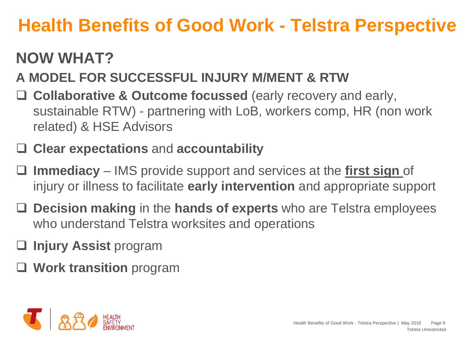## **NOW WHAT?**

## **A MODEL FOR SUCCESSFUL INJURY M/MENT & RTW**

□ Collaborative & Outcome focussed (early recovery and early, sustainable RTW) - partnering with LoB, workers comp, HR (non work related) & HSE Advisors

#### **Clear expectations** and **accountability**

- **Immediacy** IMS provide support and services at the **first sign** of injury or illness to facilitate **early intervention** and appropriate support
- **Decision making** in the **hands of experts** who are Telstra employees who understand Telstra worksites and operations
- **Injury Assist** program
- **Work transition** program

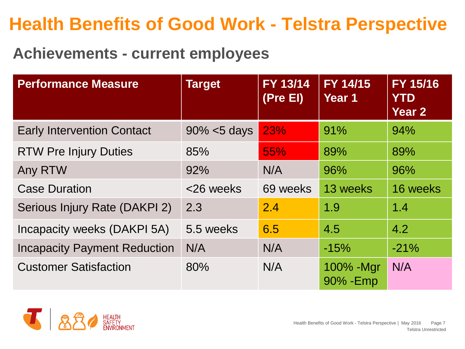### **Achievements - current employees**

| <b>Performance Measure</b>          | <b>Target</b>   | <b>FY 13/14</b><br>(Pre EI) | FY 14/15<br>Year 1      | FY 15/16<br><b>YTD</b><br>Year <sub>2</sub> |
|-------------------------------------|-----------------|-----------------------------|-------------------------|---------------------------------------------|
| <b>Early Intervention Contact</b>   | $90\% < 5$ days | 23%                         | 91%                     | 94%                                         |
| <b>RTW Pre Injury Duties</b>        | 85%             | 55%                         | 89%                     | 89%                                         |
| Any RTW                             | 92%             | N/A                         | 96%                     | 96%                                         |
| <b>Case Duration</b>                | <26 weeks       | 69 weeks                    | 13 weeks                | 16 weeks                                    |
| Serious Injury Rate (DAKPI 2)       | 2.3             | 2.4                         | 1.9                     | 1.4                                         |
| Incapacity weeks (DAKPI 5A)         | 5.5 weeks       | 6.5                         | 4.5                     | 4.2                                         |
| <b>Incapacity Payment Reduction</b> | N/A             | N/A                         | $-15%$                  | $-21%$                                      |
| <b>Customer Satisfaction</b>        | 80%             | N/A                         | 100% - Mgr<br>90% - Emp | N/A                                         |

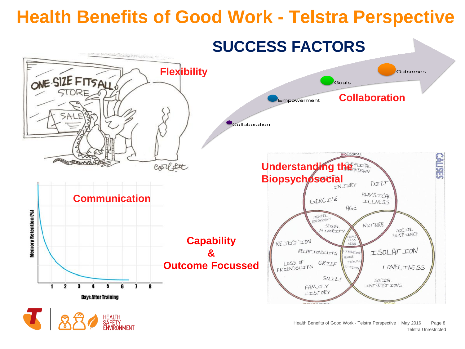





Telstra Unrestricted Health Benefits of Good Work - Telstra Perspective | May 2016 Page 8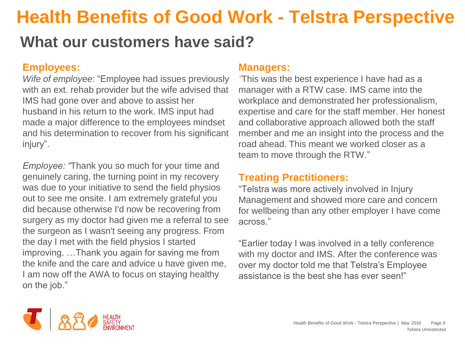### **What our customers have said?**

#### **Employees:**

*Wife of employee*: "Employee had issues previously with an ext. rehab provider but the wife advised that IMS had gone over and above to assist her husband in his return to the work. IMS input had made a major difference to the employees mindset and his determination to recover from his significant injury".

*Employee: "*Thank you so much for your time and genuinely caring, the turning point in my recovery was due to your initiative to send the field physios out to see me onsite. I am extremely grateful you did because otherwise I'd now be recovering from surgery as my doctor had given me a referral to see the surgeon as I wasn't seeing any progress. From the day I met with the field physios I started improving. …Thank you again for saving me from the knife and the care and advice u have given me, I am now off the AWA to focus on staying healthy on the job."

#### **Managers:**

*"*This was the best experience I have had as a manager with a RTW case. IMS came into the workplace and demonstrated her professionalism, expertise and care for the staff member. Her honest and collaborative approach allowed both the staff member and me an insight into the process and the road ahead. This meant we worked closer as a team to move through the RTW."

#### **Treating Practitioners:**

"Telstra was more actively involved in Injury Management and showed more care and concern for wellbeing than any other employer I have come across."

"Earlier today I was involved in a telly conference with my doctor and IMS. After the conference was over my doctor told me that Telstra's Employee assistance is the best she has ever seen!"